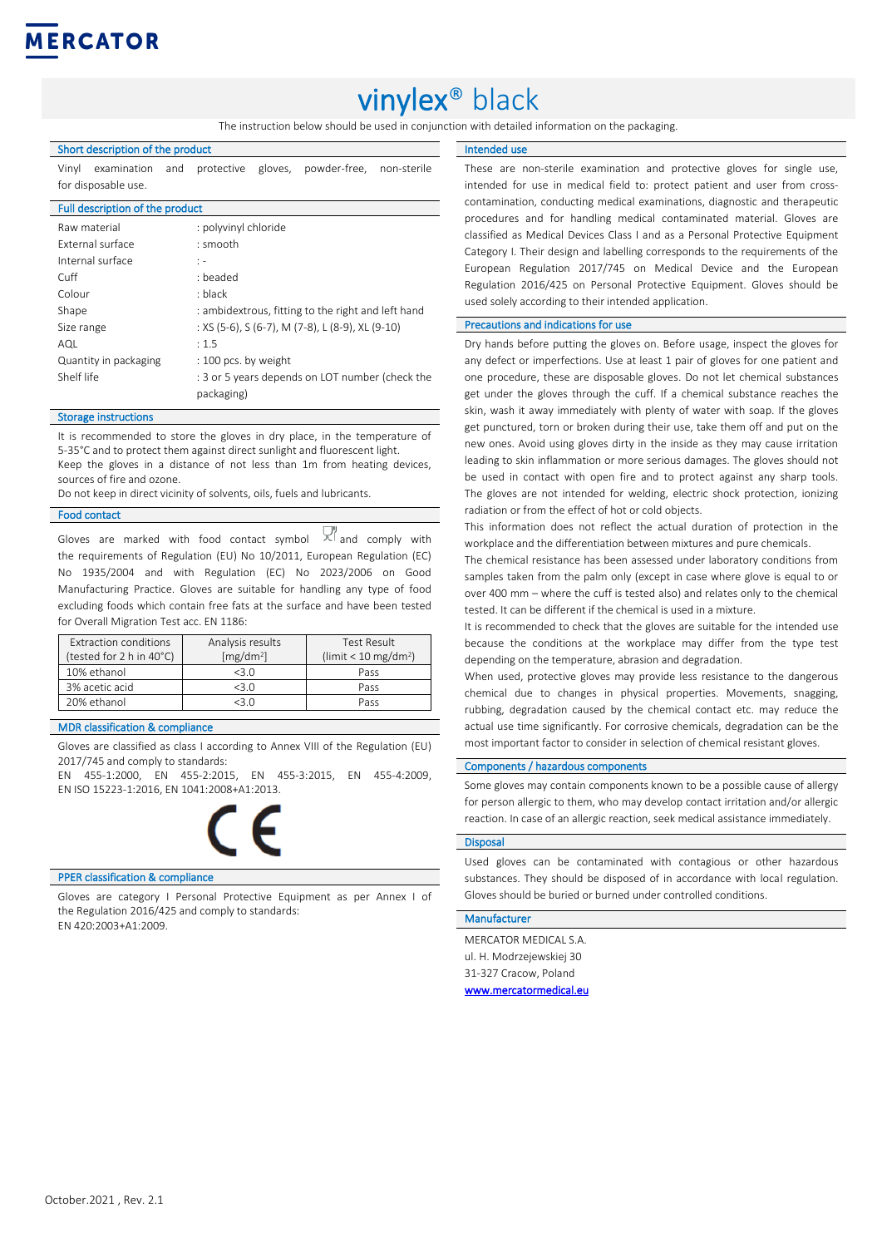

# vinylex® black

The instruction below should be used in conjunction with detailed information on the packaging.

#### Short description of the product

Vinyl examination and protective gloves, powder-free, non-sterile for disposable use.

#### Full description of the product

| Raw material          | : polyvinyl chloride                               |  |
|-----------------------|----------------------------------------------------|--|
| External surface      | : smooth                                           |  |
| Internal surface      | $\mathbf{1}$ –                                     |  |
| Cuff                  | : beaded                                           |  |
| Colour                | : black                                            |  |
| Shape                 | : ambidextrous, fitting to the right and left hand |  |
| Size range            | : XS (5-6), S (6-7), M (7-8), L (8-9), XL (9-10)   |  |
| AQL                   | : 1.5                                              |  |
| Quantity in packaging | : 100 pcs. by weight                               |  |
| Shelf life            | : 3 or 5 years depends on LOT number (check the    |  |
|                       | packaging)                                         |  |

#### Storage instructions

It is recommended to store the gloves in dry place, in the temperature of 5-35°C and to protect them against direct sunlight and fluorescent light. Keep the gloves in a distance of not less than 1m from heating devices, sources of fire and ozone.

Do not keep in direct vicinity of solvents, oils, fuels and lubricants.

#### Food contact

Gloves are marked with food contact symbol  $X^{f}$  and comply with the requirements of Regulation (EU) No 10/2011, European Regulation (EC) No 1935/2004 and with Regulation (EC) No 2023/2006 on Good Manufacturing Practice. Gloves are suitable for handling any type of food excluding foods which contain free fats at the surface and have been tested for Overall Migration Test acc. EN 1186:

| Extraction conditions<br>(tested for 2 h in 40°C) | Analysis results<br>[mg/dm <sup>2</sup> ] | Test Result<br>(limit $< 10$ mg/dm <sup>2</sup> ) |
|---------------------------------------------------|-------------------------------------------|---------------------------------------------------|
| 10% ethanol                                       | 3.0                                       | Pass                                              |
| 3% acetic acid                                    | $<3$ $\Omega$                             | Pass                                              |
| 20% ethanol                                       | ∕ ? ∩                                     | Pass                                              |

#### MDR classification & compliance

Gloves are classified as class I according to Annex VIII of the Regulation (EU) 2017/745 and comply to standards:

EN 455-1:2000, EN 455-2:2015, EN 455-3:2015, EN 455-4:2009, EN ISO 15223-1:2016, EN 1041:2008+A1:2013.

#### PPER classification & compliance

Gloves are category I Personal Protective Equipment as per Annex I of the Regulation 2016/425 and comply to standards: EN 420:2003+A1:2009.

#### Intended use

These are non-sterile examination and protective gloves for single use, intended for use in medical field to: protect patient and user from crosscontamination, conducting medical examinations, diagnostic and therapeutic procedures and for handling medical contaminated material. Gloves are classified as Medical Devices Class I and as a Personal Protective Equipment Category I. Their design and labelling corresponds to the requirements of the European Regulation 2017/745 on Medical Device and the European Regulation 2016/425 on Personal Protective Equipment. Gloves should be used solely according to their intended application.

#### Precautions and indications for use

Dry hands before putting the gloves on. Before usage, inspect the gloves for any defect or imperfections. Use at least 1 pair of gloves for one patient and one procedure, these are disposable gloves. Do not let chemical substances get under the gloves through the cuff. If a chemical substance reaches the skin, wash it away immediately with plenty of water with soap. If the gloves get punctured, torn or broken during their use, take them off and put on the new ones. Avoid using gloves dirty in the inside as they may cause irritation leading to skin inflammation or more serious damages. The gloves should not be used in contact with open fire and to protect against any sharp tools. The gloves are not intended for welding, electric shock protection, ionizing radiation or from the effect of hot or cold objects.

This information does not reflect the actual duration of protection in the workplace and the differentiation between mixtures and pure chemicals.

The chemical resistance has been assessed under laboratory conditions from samples taken from the palm only (except in case where glove is equal to or over 400 mm – where the cuff is tested also) and relates only to the chemical tested. It can be different if the chemical is used in a mixture.

It is recommended to check that the gloves are suitable for the intended use because the conditions at the workplace may differ from the type test depending on the temperature, abrasion and degradation.

When used, protective gloves may provide less resistance to the dangerous chemical due to changes in physical properties. Movements, snagging, rubbing, degradation caused by the chemical contact etc. may reduce the actual use time significantly. For corrosive chemicals, degradation can be the most important factor to consider in selection of chemical resistant gloves.

#### Components / hazardous components

Some gloves may contain components known to be a possible cause of allergy for person allergic to them, who may develop contact irritation and/or allergic reaction. In case of an allergic reaction, seek medical assistance immediately.

#### **Disposal**

Used gloves can be contaminated with contagious or other hazardous substances. They should be disposed of in accordance with local regulation. Gloves should be buried or burned under controlled conditions.

#### Manufacturer

MERCATOR MEDICAL S.A. ul. H. Modrzejewskiej 30 31-327 Cracow, Poland [www.mercatormedical.eu](http://www.mercatormedical.eu/)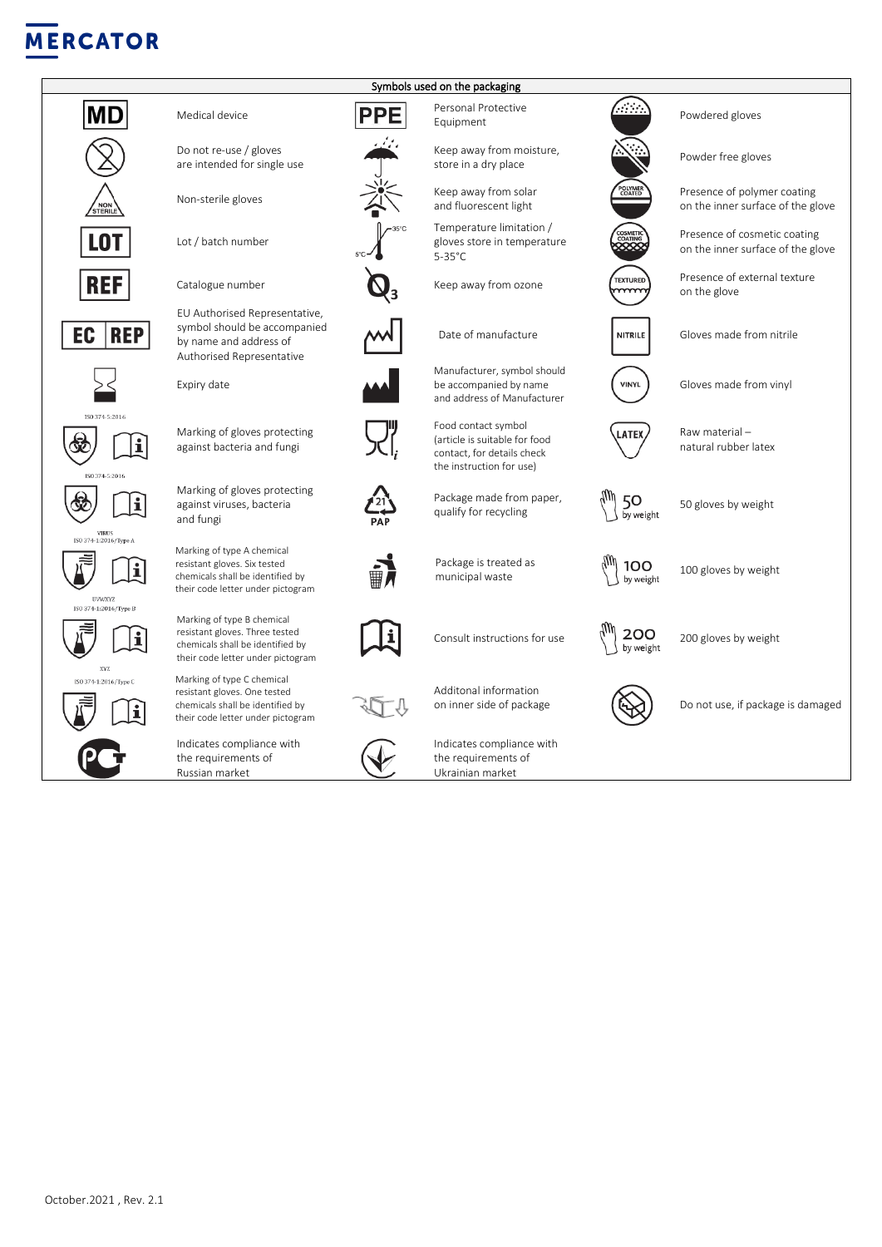## **MERCATOR**





 $\overline{a}$ 



are intended for single use

Lot / batch number

EU Authorised Representative, symbol should be accompanied by name and address of Authorised Representative

Marking of type A chemical resistant gloves. Six tested chemicals shall be identified by their code letter under pictogram

Marking of type B chemical resistant gloves. Three tested chemicals shall be identified by their code letter under pictogram

Marking of type C chemical resistant gloves. One tested chemicals shall be identified by their code letter under pictogram

Indicates compliance with the requirements of Russian market



Symbols used on the packaging



Ukrainian market



Powdered gloves